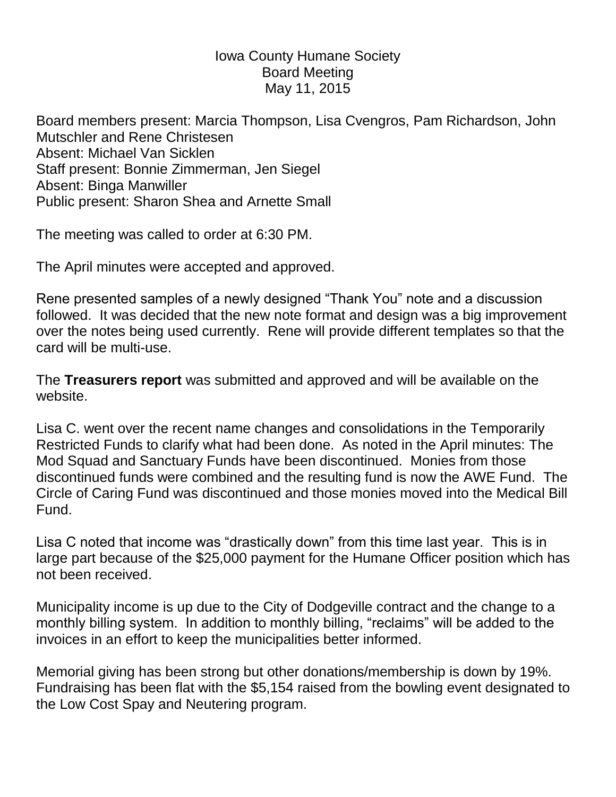## Iowa County Humane Society Board Meeting May 11, 2015

Board members present: Marcia Thompson, Lisa Cvengros, Pam Richardson, John Mutschler and Rene Christesen Absent: Michael Van Sicklen Staff present: Bonnie Zimmerman, Jen Siegel Absent: Binga Manwiller Public present: Sharon Shea and Arnette Small

The meeting was called to order at 6:30 PM.

The April minutes were accepted and approved.

Rene presented samples of a newly designed "Thank You" note and a discussion followed. It was decided that the new note format and design was a big improvement over the notes being used currently. Rene will provide different templates so that the card will be multi-use.

The **Treasurers report** was submitted and approved and will be available on the website.

Lisa C. went over the recent name changes and consolidations in the Temporarily Restricted Funds to clarify what had been done. As noted in the April minutes: The Mod Squad and Sanctuary Funds have been discontinued. Monies from those discontinued funds were combined and the resulting fund is now the AWE Fund. The Circle of Caring Fund was discontinued and those monies moved into the Medical Bill Fund.

Lisa C noted that income was "drastically down" from this time last year. This is in large part because of the \$25,000 payment for the Humane Officer position which has not been received.

Municipality income is up due to the City of Dodgeville contract and the change to a monthly billing system. In addition to monthly billing, "reclaims" will be added to the invoices in an effort to keep the municipalities better informed.

Memorial giving has been strong but other donations/membership is down by 19%. Fundraising has been flat with the \$5,154 raised from the bowling event designated to the Low Cost Spay and Neutering program.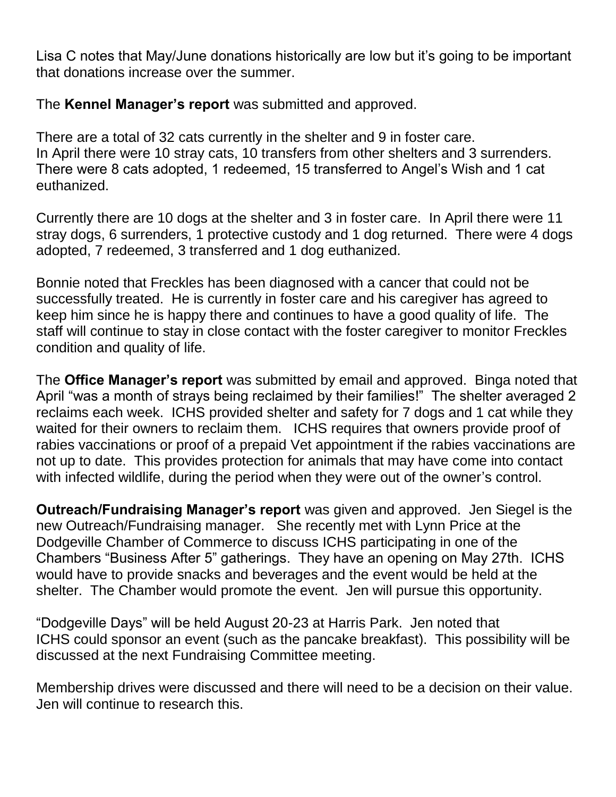Lisa C notes that May/June donations historically are low but it's going to be important that donations increase over the summer.

The **Kennel Manager's report** was submitted and approved.

There are a total of 32 cats currently in the shelter and 9 in foster care. In April there were 10 stray cats, 10 transfers from other shelters and 3 surrenders. There were 8 cats adopted, 1 redeemed, 15 transferred to Angel's Wish and 1 cat euthanized.

Currently there are 10 dogs at the shelter and 3 in foster care. In April there were 11 stray dogs, 6 surrenders, 1 protective custody and 1 dog returned. There were 4 dogs adopted, 7 redeemed, 3 transferred and 1 dog euthanized.

Bonnie noted that Freckles has been diagnosed with a cancer that could not be successfully treated. He is currently in foster care and his caregiver has agreed to keep him since he is happy there and continues to have a good quality of life. The staff will continue to stay in close contact with the foster caregiver to monitor Freckles condition and quality of life.

The **Office Manager's report** was submitted by email and approved. Binga noted that April "was a month of strays being reclaimed by their families!" The shelter averaged 2 reclaims each week. ICHS provided shelter and safety for 7 dogs and 1 cat while they waited for their owners to reclaim them. ICHS requires that owners provide proof of rabies vaccinations or proof of a prepaid Vet appointment if the rabies vaccinations are not up to date. This provides protection for animals that may have come into contact with infected wildlife, during the period when they were out of the owner's control.

**Outreach/Fundraising Manager's report** was given and approved. Jen Siegel is the new Outreach/Fundraising manager. She recently met with Lynn Price at the Dodgeville Chamber of Commerce to discuss ICHS participating in one of the Chambers "Business After 5" gatherings. They have an opening on May 27th. ICHS would have to provide snacks and beverages and the event would be held at the shelter. The Chamber would promote the event. Jen will pursue this opportunity.

"Dodgeville Days" will be held August 20-23 at Harris Park. Jen noted that ICHS could sponsor an event (such as the pancake breakfast). This possibility will be discussed at the next Fundraising Committee meeting.

Membership drives were discussed and there will need to be a decision on their value. Jen will continue to research this.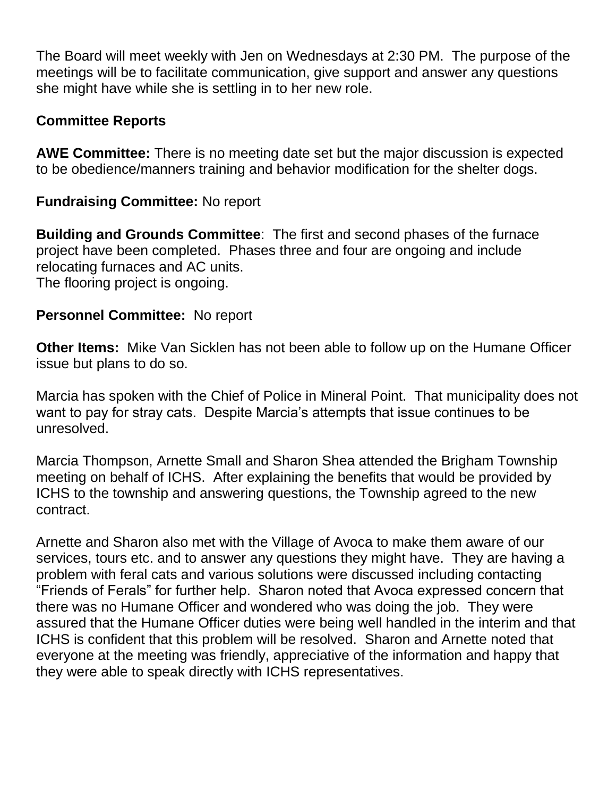The Board will meet weekly with Jen on Wednesdays at 2:30 PM. The purpose of the meetings will be to facilitate communication, give support and answer any questions she might have while she is settling in to her new role.

## **Committee Reports**

**AWE Committee:** There is no meeting date set but the major discussion is expected to be obedience/manners training and behavior modification for the shelter dogs.

## **Fundraising Committee:** No report

**Building and Grounds Committee**: The first and second phases of the furnace project have been completed. Phases three and four are ongoing and include relocating furnaces and AC units. The flooring project is ongoing.

## **Personnel Committee:** No report

**Other Items:** Mike Van Sicklen has not been able to follow up on the Humane Officer issue but plans to do so.

Marcia has spoken with the Chief of Police in Mineral Point. That municipality does not want to pay for stray cats. Despite Marcia's attempts that issue continues to be unresolved.

Marcia Thompson, Arnette Small and Sharon Shea attended the Brigham Township meeting on behalf of ICHS. After explaining the benefits that would be provided by ICHS to the township and answering questions, the Township agreed to the new contract.

Arnette and Sharon also met with the Village of Avoca to make them aware of our services, tours etc. and to answer any questions they might have. They are having a problem with feral cats and various solutions were discussed including contacting "Friends of Ferals" for further help. Sharon noted that Avoca expressed concern that there was no Humane Officer and wondered who was doing the job. They were assured that the Humane Officer duties were being well handled in the interim and that ICHS is confident that this problem will be resolved. Sharon and Arnette noted that everyone at the meeting was friendly, appreciative of the information and happy that they were able to speak directly with ICHS representatives.